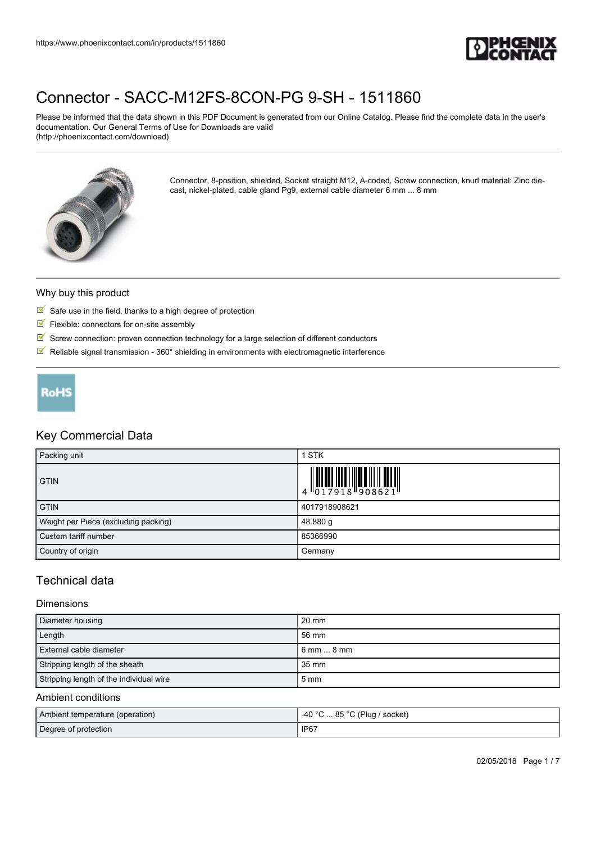

Please be informed that the data shown in this PDF Document is generated from our Online Catalog. Please find the complete data in the user's documentation. Our General Terms of Use for Downloads are valid (http://phoenixcontact.com/download)



Connector, 8-position, shielded, Socket straight M12, A-coded, Screw connection, knurl material: Zinc diecast, nickel-plated, cable gland Pg9, external cable diameter 6 mm ... 8 mm

#### Why buy this product

- $\blacksquare$  Safe use in the field, thanks to a high degree of protection
- $F$  Flexible: connectors for on-site assembly
- $\mathbb N$  Screw connection: proven connection technology for a large selection of different conductors
- $\blacksquare$  Reliable signal transmission 360° shielding in environments with electromagnetic interference



## Key Commercial Data

| Packing unit                         | <b>STK</b>                                                                                                                                                                                                                                                                                                               |
|--------------------------------------|--------------------------------------------------------------------------------------------------------------------------------------------------------------------------------------------------------------------------------------------------------------------------------------------------------------------------|
| <b>GTIN</b>                          | $\begin{array}{c} 1 & 0 & 0 & 0 & 0 \\ 0 & 0 & 1 & 7 & 9 & 1 & 8 \\ 0 & 0 & 1 & 7 & 9 & 1 & 8 \\ 0 & 0 & 0 & 0 & 0 & 0 & 0 \\ 0 & 0 & 0 & 0 & 0 & 0 & 0 \\ 0 & 0 & 0 & 0 & 0 & 0 & 0 \\ 0 & 0 & 0 & 0 & 0 & 0 & 0 \\ 0 & 0 & 0 & 0 & 0 & 0 & 0 \\ 0 & 0 & 0 & 0 & 0 & 0 & 0 & 0 \\ 0 & 0 & 0 & 0 & 0 & 0 & 0 & 0 \\ 0 &$ |
| <b>GTIN</b>                          | 4017918908621                                                                                                                                                                                                                                                                                                            |
| Weight per Piece (excluding packing) | 48.880 g                                                                                                                                                                                                                                                                                                                 |
| Custom tariff number                 | 85366990                                                                                                                                                                                                                                                                                                                 |
| Country of origin                    | Germany                                                                                                                                                                                                                                                                                                                  |

## Technical data

#### Dimensions

| Diameter housing                        | 20 mm          |
|-----------------------------------------|----------------|
| Length                                  | 56 mm          |
| l External cable diameter               | l 6 mm  8 mm   |
| Stripping length of the sheath          | 35 mm          |
| Stripping length of the individual wire | $5 \text{ mm}$ |

### Ambient conditions

| Ambient temperature (operation) | -40 °C  85 °C (Plug / socket) |
|---------------------------------|-------------------------------|
| Degree of protection            | IP67                          |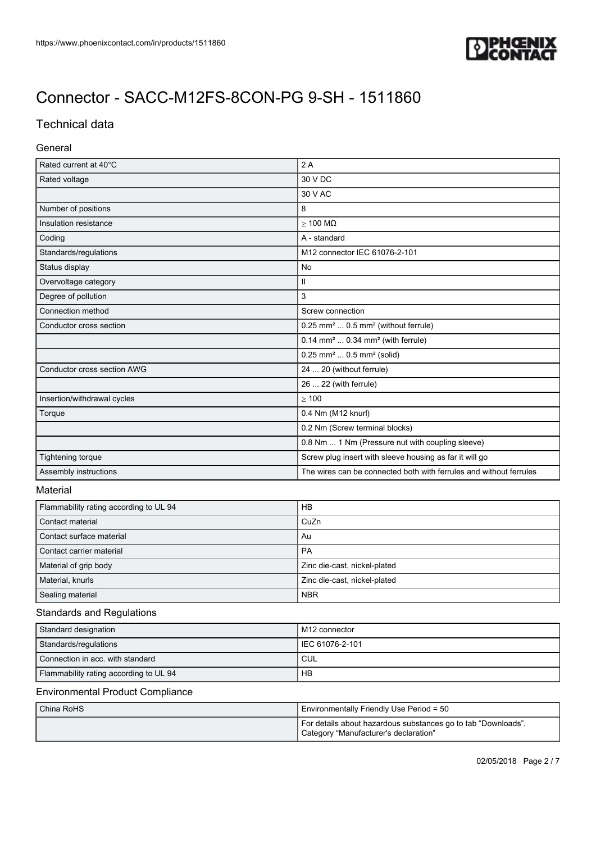

# Technical data

### General

| Rated current at 40°C                  | 2A                                                                 |
|----------------------------------------|--------------------------------------------------------------------|
| Rated voltage                          | 30 V DC                                                            |
|                                        | 30 V AC                                                            |
| Number of positions                    | 8                                                                  |
| Insulation resistance                  | $\geq$ 100 M $\Omega$                                              |
| Coding                                 | A - standard                                                       |
| Standards/regulations                  | M12 connector IEC 61076-2-101                                      |
| Status display                         | No                                                                 |
| Overvoltage category                   | Ш                                                                  |
| Degree of pollution                    | 3                                                                  |
| Connection method                      | Screw connection                                                   |
| Conductor cross section                | 0.25 mm <sup>2</sup> 0.5 mm <sup>2</sup> (without ferrule)         |
|                                        | 0.14 mm <sup>2</sup> 0.34 mm <sup>2</sup> (with ferrule)           |
|                                        | $0.25$ mm <sup>2</sup> $0.5$ mm <sup>2</sup> (solid)               |
| Conductor cross section AWG            | 24  20 (without ferrule)                                           |
|                                        | 26  22 (with ferrule)                                              |
| Insertion/withdrawal cycles            | $\geq 100$                                                         |
| Torque                                 | 0.4 Nm (M12 knurl)                                                 |
|                                        | 0.2 Nm (Screw terminal blocks)                                     |
|                                        | 0.8 Nm  1 Nm (Pressure nut with coupling sleeve)                   |
| Tightening torque                      | Screw plug insert with sleeve housing as far it will go            |
| Assembly instructions                  | The wires can be connected both with ferrules and without ferrules |
| Material                               |                                                                    |
| Flammability rating according to UL 94 | <b>HB</b>                                                          |
| Contact material                       | CuZn                                                               |
| Contact surface material               | Au                                                                 |
| Contact carrier material               | PA                                                                 |
| Material of grip body                  | Zinc die-cast, nickel-plated                                       |
| Material, knurls                       | Zinc die-cast, nickel-plated                                       |
| Sealing material                       | <b>NBR</b>                                                         |
| <b>Standards and Regulations</b>       |                                                                    |
| Standard designation                   | M12 connector                                                      |
| Standards/regulations                  | IEC 61076-2-101                                                    |

# Environmental Product Compliance

Connection in acc. with standard CUL Flammability rating according to UL 94

| China RoHS | Environmentally Friendly Use Period = 50                                                               |  |
|------------|--------------------------------------------------------------------------------------------------------|--|
|            | For details about hazardous substances go to tab "Downloads",<br>Category "Manufacturer's declaration" |  |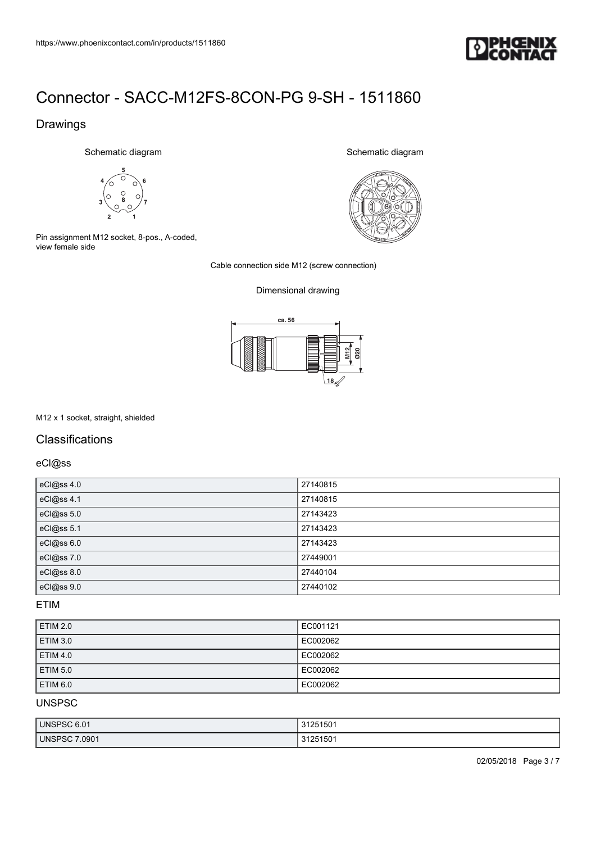

## Drawings

Schematic diagram



Pin assignment M12 socket, 8-pos., A-coded, view female side

Schematic diagram



Cable connection side M12 (screw connection)

### Dimensional drawing



#### M12 x 1 socket, straight, shielded

## **Classifications**

eCl@ss

| eCl@ss 4.0 | 27140815 |
|------------|----------|
| eCl@ss 4.1 | 27140815 |
| eCl@ss 5.0 | 27143423 |
| eCl@ss 5.1 | 27143423 |
| eCl@ss 6.0 | 27143423 |
| eCl@ss 7.0 | 27449001 |
| eCl@ss 8.0 | 27440104 |
| eCl@ss 9.0 | 27440102 |

### ETIM

| <b>ETIM 2.0</b> | EC001121 |
|-----------------|----------|
| <b>ETIM 3.0</b> | EC002062 |
| <b>ETIM 4.0</b> | EC002062 |
| <b>ETIM 5.0</b> | EC002062 |
| <b>ETIM 6.0</b> | EC002062 |

UNSPSC

| UNSPSC 6.01       | 31251501 |
|-------------------|----------|
| 0901<br>UNSPSC 7. | 31251501 |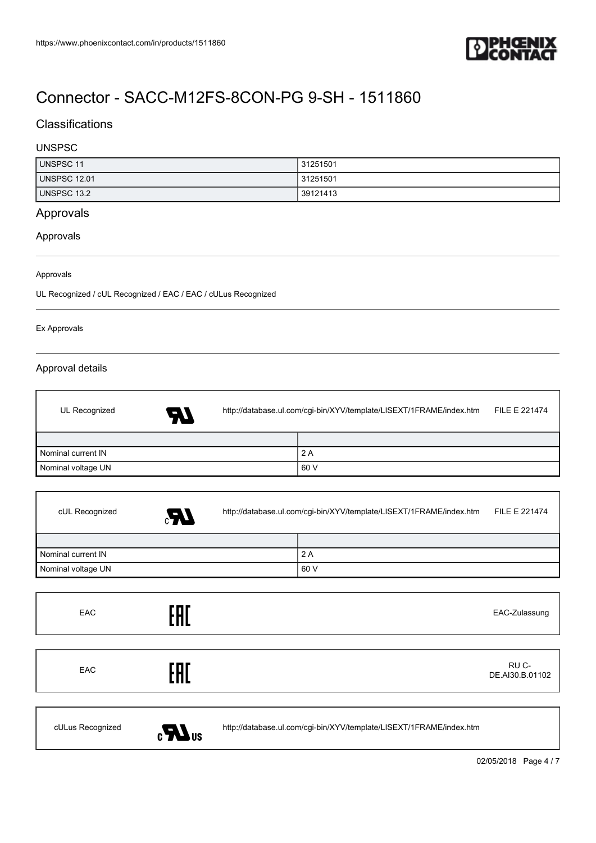

## **Classifications**

### UNSPSC

| UNSPSC 11           | 31251501 |
|---------------------|----------|
| <b>UNSPSC 12.01</b> | 31251501 |
| UNSPSC 13.2         | 39121413 |

# Approvals

### Approvals

Approvals

UL Recognized / cUL Recognized / EAC / EAC / cULus Recognized

#### Ex Approvals

 $\mathsf{r}$ 

I

 $\overline{1}$ 

### Approval details

| UL Recognized      | A7 | http://database.ul.com/cgi-bin/XYV/template/LISEXT/1FRAME/index.htm |      | <b>FILE E 221474</b> |
|--------------------|----|---------------------------------------------------------------------|------|----------------------|
|                    |    |                                                                     |      |                      |
| Nominal current IN |    |                                                                     | 2 A  |                      |
| Nominal voltage UN |    |                                                                     | 60 V |                      |

| cUL Recognized     | Æ, | http://database.ul.com/cgi-bin/XYV/template/LISEXT/1FRAME/index.htm |      | FILE E 221474 |
|--------------------|----|---------------------------------------------------------------------|------|---------------|
|                    |    |                                                                     |      |               |
| Nominal current IN |    |                                                                     | 2A   |               |
| Nominal voltage UN |    |                                                                     | 60 V |               |

| <b>EAC</b>       | EAD                    |                                                                     | EAC-Zulassung            |
|------------------|------------------------|---------------------------------------------------------------------|--------------------------|
|                  |                        |                                                                     |                          |
| <b>EAC</b>       | EAD                    |                                                                     | RU C-<br>DE.AI30.B.01102 |
|                  |                        |                                                                     |                          |
| cULus Recognized | $\epsilon$ <b>M</b> us | http://database.ul.com/cgi-bin/XYV/template/LISEXT/1FRAME/index.htm |                          |

02/05/2018 Page 4 / 7

٦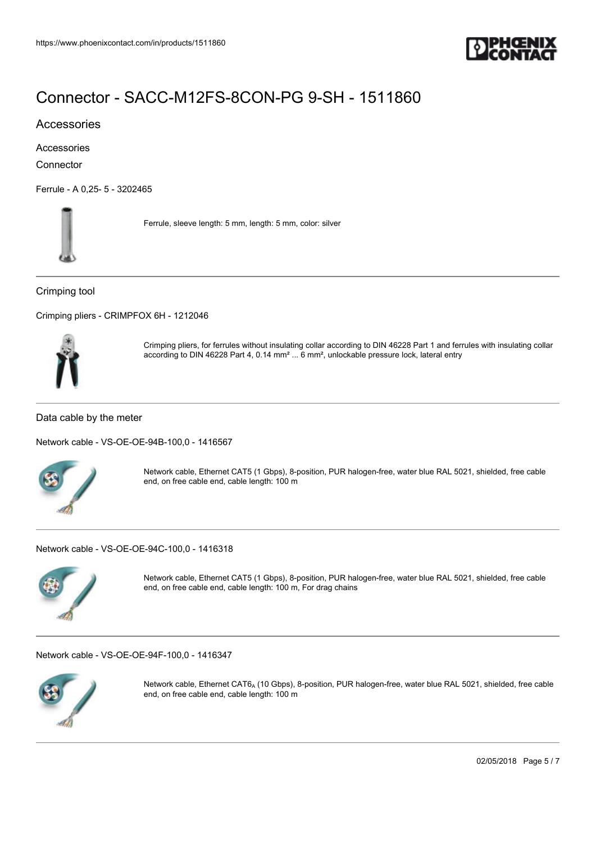

### Accessories

Accessories

**Connector** 

[Ferrule - A 0,25- 5 - 3202465](https://www.phoenixcontact.com/in/products/3202465)



Ferrule, sleeve length: 5 mm, length: 5 mm, color: silver

#### Crimping tool

[Crimping pliers - CRIMPFOX 6H - 1212046](https://www.phoenixcontact.com/in/products/1212046)



Crimping pliers, for ferrules without insulating collar according to DIN 46228 Part 1 and ferrules with insulating collar according to DIN 46228 Part 4, 0.14 mm² ... 6 mm², unlockable pressure lock, lateral entry

Data cable by the meter

[Network cable - VS-OE-OE-94B-100,0 - 1416567](https://www.phoenixcontact.com/in/products/1416567)



Network cable, Ethernet CAT5 (1 Gbps), 8-position, PUR halogen-free, water blue RAL 5021, shielded, free cable end, on free cable end, cable length: 100 m

[Network cable - VS-OE-OE-94C-100,0 - 1416318](https://www.phoenixcontact.com/in/products/1416318)



Network cable, Ethernet CAT5 (1 Gbps), 8-position, PUR halogen-free, water blue RAL 5021, shielded, free cable end, on free cable end, cable length: 100 m, For drag chains

[Network cable - VS-OE-OE-94F-100,0 - 1416347](https://www.phoenixcontact.com/in/products/1416347)



Network cable, Ethernet CAT6<sub>A</sub> (10 Gbps), 8-position, PUR halogen-free, water blue RAL 5021, shielded, free cable end, on free cable end, cable length: 100 m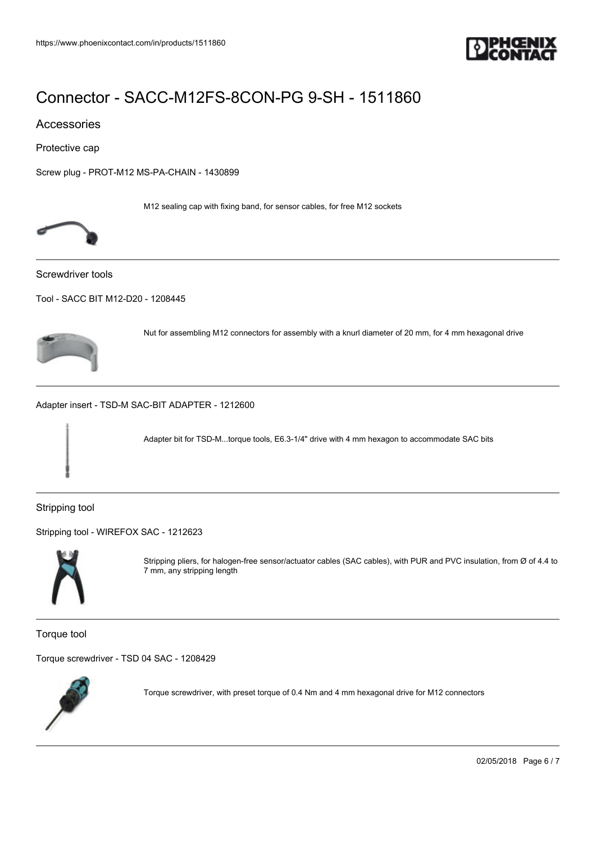

### Accessories

Protective cap

[Screw plug - PROT-M12 MS-PA-CHAIN - 1430899](https://www.phoenixcontact.com/in/products/1430899)

M12 sealing cap with fixing band, for sensor cables, for free M12 sockets



Screwdriver tools

[Tool - SACC BIT M12-D20 - 1208445](https://www.phoenixcontact.com/in/products/1208445)



Nut for assembling M12 connectors for assembly with a knurl diameter of 20 mm, for 4 mm hexagonal drive

[Adapter insert - TSD-M SAC-BIT ADAPTER - 1212600](https://www.phoenixcontact.com/in/products/1212600)

Adapter bit for TSD-M...torque tools, E6.3-1/4" drive with 4 mm hexagon to accommodate SAC bits

Stripping tool

[Stripping tool - WIREFOX SAC - 1212623](https://www.phoenixcontact.com/in/products/1212623)



Stripping pliers, for halogen-free sensor/actuator cables (SAC cables), with PUR and PVC insulation, from Ø of 4.4 to 7 mm, any stripping length

Torque tool

[Torque screwdriver - TSD 04 SAC - 1208429](https://www.phoenixcontact.com/in/products/1208429)



Torque screwdriver, with preset torque of 0.4 Nm and 4 mm hexagonal drive for M12 connectors